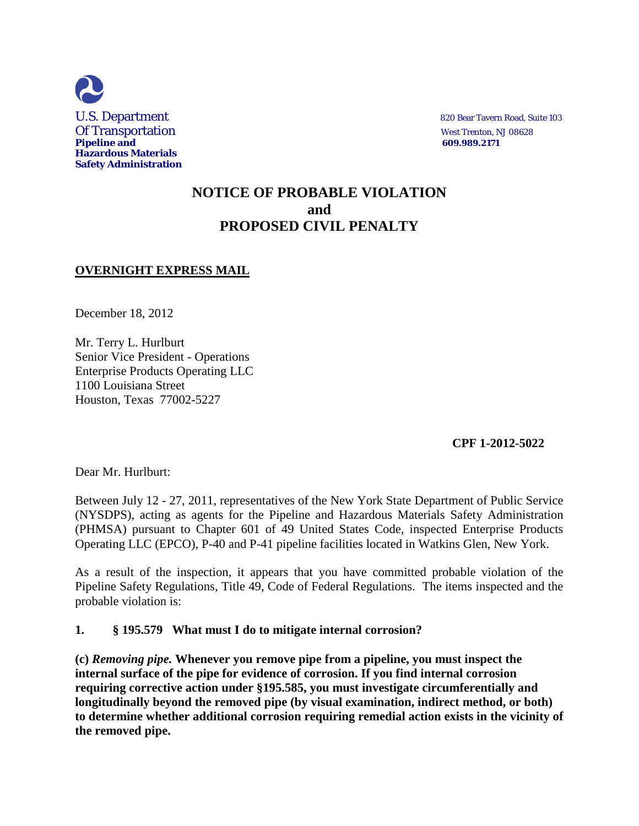

# **NOTICE OF PROBABLE VIOLATION and PROPOSED CIVIL PENALTY**

## **OVERNIGHT EXPRESS MAIL**

December 18, 2012

Mr. Terry L. Hurlburt Senior Vice President - Operations Enterprise Products Operating LLC 1100 Louisiana Street Houston, Texas 77002-5227

 **CPF 1-2012-5022** 

Dear Mr. Hurlburt:

Between July 12 - 27, 2011, representatives of the New York State Department of Public Service (NYSDPS), acting as agents for the Pipeline and Hazardous Materials Safety Administration (PHMSA) pursuant to Chapter 601 of 49 United States Code, inspected Enterprise Products Operating LLC (EPCO), P-40 and P-41 pipeline facilities located in Watkins Glen, New York.

As a result of the inspection, it appears that you have committed probable violation of the Pipeline Safety Regulations, Title 49, Code of Federal Regulations. The items inspected and the probable violation is:

### **1. § 195.579 What must I do to mitigate internal corrosion?**

**(c)** *Removing pipe.* **Whenever you remove pipe from a pipeline, you must inspect the internal surface of the pipe for evidence of corrosion. If you find internal corrosion requiring corrective action under §195.585, you must investigate circumferentially and longitudinally beyond the removed pipe (by visual examination, indirect method, or both) to determine whether additional corrosion requiring remedial action exists in the vicinity of the removed pipe.**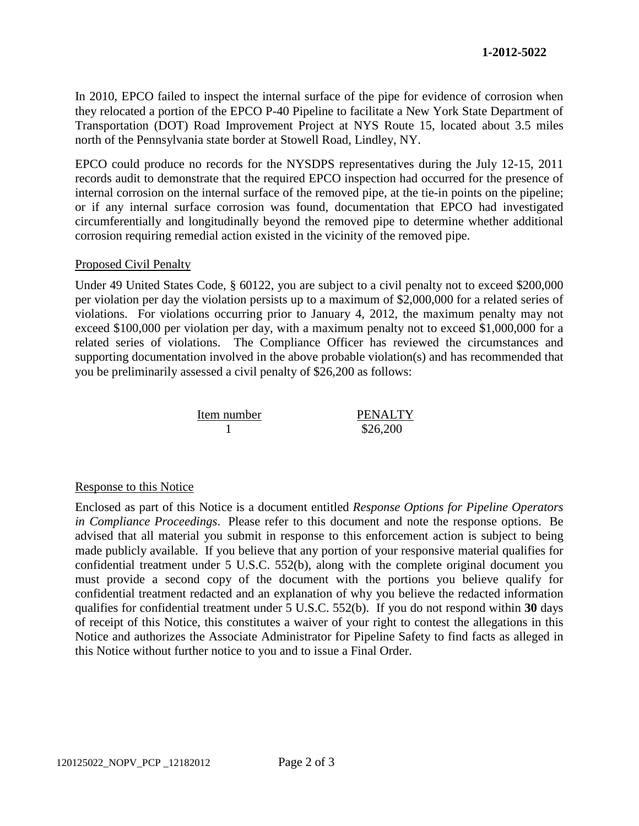In 2010, EPCO failed to inspect the internal surface of the pipe for evidence of corrosion when they relocated a portion of the EPCO P-40 Pipeline to facilitate a New York State Department of Transportation (DOT) Road Improvement Project at NYS Route 15, located about 3.5 miles north of the Pennsylvania state border at Stowell Road, Lindley, NY.

EPCO could produce no records for the NYSDPS representatives during the July 12-15, 2011 records audit to demonstrate that the required EPCO inspection had occurred for the presence of internal corrosion on the internal surface of the removed pipe, at the tie-in points on the pipeline; or if any internal surface corrosion was found, documentation that EPCO had investigated circumferentially and longitudinally beyond the removed pipe to determine whether additional corrosion requiring remedial action existed in the vicinity of the removed pipe.

#### Proposed Civil Penalty

Under 49 United States Code, § 60122, you are subject to a civil penalty not to exceed \$200,000 per violation per day the violation persists up to a maximum of \$2,000,000 for a related series of violations. For violations occurring prior to January 4, 2012, the maximum penalty may not exceed \$100,000 per violation per day, with a maximum penalty not to exceed \$1,000,000 for a related series of violations. The Compliance Officer has reviewed the circumstances and supporting documentation involved in the above probable violation(s) and has recommended that you be preliminarily assessed a civil penalty of \$26,200 as follows:



#### Response to this Notice

Enclosed as part of this Notice is a document entitled *Response Options for Pipeline Operators in Compliance Proceedings*. Please refer to this document and note the response options. Be advised that all material you submit in response to this enforcement action is subject to being made publicly available. If you believe that any portion of your responsive material qualifies for confidential treatment under 5 U.S.C. 552(b), along with the complete original document you must provide a second copy of the document with the portions you believe qualify for confidential treatment redacted and an explanation of why you believe the redacted information qualifies for confidential treatment under 5 U.S.C. 552(b). If you do not respond within **30** days of receipt of this Notice, this constitutes a waiver of your right to contest the allegations in this Notice and authorizes the Associate Administrator for Pipeline Safety to find facts as alleged in this Notice without further notice to you and to issue a Final Order.